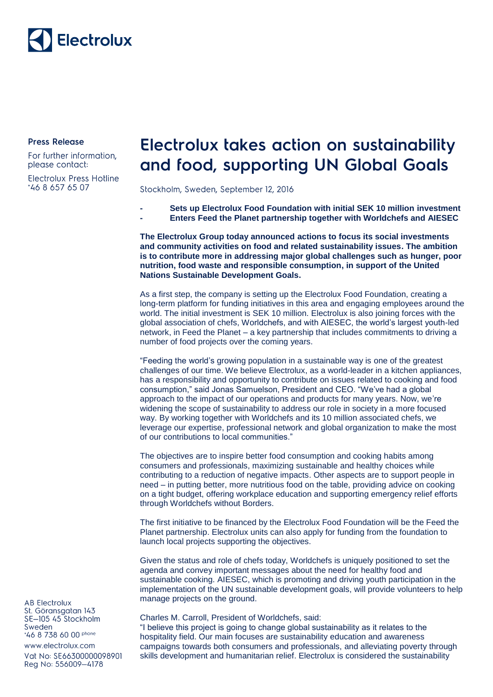

**Press Release** 

For further information, please contact:

**Electrolux Press Hotline** \*46 8 657 65 07

## Electrolux takes action on sustainability and food, supporting UN Global Goals

Stockholm, Sweden, September 12, 2016

- **- Sets up Electrolux Food Foundation with initial SEK 10 million investment**
- **- Enters Feed the Planet partnership together with Worldchefs and AIESEC**

**The Electrolux Group today announced actions to focus its social investments and community activities on food and related sustainability issues. The ambition is to contribute more in addressing major global challenges such as hunger, poor nutrition, food waste and responsible consumption, in support of the United Nations Sustainable Development Goals.**

As a first step, the company is setting up the Electrolux Food Foundation, creating a long-term platform for funding initiatives in this area and engaging employees around the world. The initial investment is SEK 10 million. Electrolux is also joining forces with the global association of chefs, Worldchefs, and with AIESEC, the world's largest youth-led network, in Feed the Planet – a key partnership that includes commitments to driving a number of food projects over the coming years.

"Feeding the world's growing population in a sustainable way is one of the greatest challenges of our time. We believe Electrolux, as a world-leader in a kitchen appliances, has a responsibility and opportunity to contribute on issues related to cooking and food consumption," said Jonas Samuelson, President and CEO. "We've had a global approach to the impact of our operations and products for many years. Now, we're widening the scope of sustainability to address our role in society in a more focused way. By working together with Worldchefs and its 10 million associated chefs, we leverage our expertise, professional network and global organization to make the most of our contributions to local communities."

The objectives are to inspire better food consumption and cooking habits among consumers and professionals, maximizing sustainable and healthy choices while contributing to a reduction of negative impacts. Other aspects are to support people in need – in putting better, more nutritious food on the table, providing advice on cooking on a tight budget, offering workplace education and supporting emergency relief efforts through Worldchefs without Borders.

The first initiative to be financed by the Electrolux Food Foundation will be the Feed the Planet partnership. Electrolux units can also apply for funding from the foundation to launch local projects supporting the objectives.

Given the status and role of chefs today, Worldchefs is uniquely positioned to set the agenda and convey important messages about the need for healthy food and sustainable cooking. AIESEC, which is promoting and driving youth participation in the implementation of the UN sustainable development goals, will provide volunteers to help manage projects on the ground.

## Charles M. Carroll, President of Worldchefs, said:

"I believe this project is going to change global sustainability as it relates to the hospitality field. Our main focuses are sustainability education and awareness campaigns towards both consumers and professionals, and alleviating poverty through skills development and humanitarian relief. Electrolux is considered the sustainability

**AB Electrolux** St. Göransgatan 143 SE-105 45 Stockholm Sweden \*46 8 738 60 00 phone

www.electrolux.com Vat No: SE66300000098901 Reg No: 556009-4178